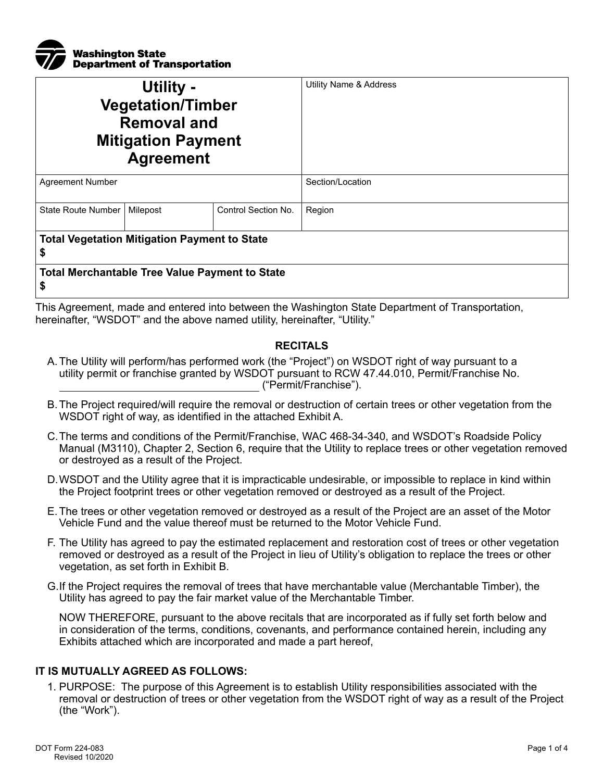

| Utility -<br><b>Vegetation/Timber</b><br><b>Removal and</b><br><b>Mitigation Payment</b><br><b>Agreement</b> |          |                     | Utility Name & Address |  |
|--------------------------------------------------------------------------------------------------------------|----------|---------------------|------------------------|--|
| <b>Agreement Number</b>                                                                                      |          |                     | Section/Location       |  |
| State Route Number                                                                                           | Milepost | Control Section No. | Region                 |  |
| <b>Total Vegetation Mitigation Payment to State</b><br>\$                                                    |          |                     |                        |  |
| <b>Total Merchantable Tree Value Payment to State</b><br>\$                                                  |          |                     |                        |  |

This Agreement, made and entered into between the Washington State Department of Transportation, hereinafter, "WSDOT" and the above named utility, hereinafter, "Utility."

## **RECITALS**

- A.The Utility will perform/has performed work (the "Project") on WSDOT right of way pursuant to a utility permit or franchise granted by WSDOT pursuant to RCW 47.44.010, Permit/Franchise No. ("Permit/Franchise").
- B.The Project required/will require the removal or destruction of certain trees or other vegetation from the WSDOT right of way, as identified in the attached Exhibit A.
- C.The terms and conditions of the Permit/Franchise, WAC 468-34-340, and WSDOT's Roadside Policy Manual (M3110), Chapter 2, Section 6, require that the Utility to replace trees or other vegetation removed or destroyed as a result of the Project.
- D.WSDOT and the Utility agree that it is impracticable undesirable, or impossible to replace in kind within the Project footprint trees or other vegetation removed or destroyed as a result of the Project.
- E.The trees or other vegetation removed or destroyed as a result of the Project are an asset of the Motor Vehicle Fund and the value thereof must be returned to the Motor Vehicle Fund.
- F. The Utility has agreed to pay the estimated replacement and restoration cost of trees or other vegetation removed or destroyed as a result of the Project in lieu of Utility's obligation to replace the trees or other vegetation, as set forth in Exhibit B.
- G.If the Project requires the removal of trees that have merchantable value (Merchantable Timber), the Utility has agreed to pay the fair market value of the Merchantable Timber.

NOW THEREFORE, pursuant to the above recitals that are incorporated as if fully set forth below and in consideration of the terms, conditions, covenants, and performance contained herein, including any Exhibits attached which are incorporated and made a part hereof,

## **IT IS MUTUALLY AGREED AS FOLLOWS:**

1. PURPOSE: The purpose of this Agreement is to establish Utility responsibilities associated with the removal or destruction of trees or other vegetation from the WSDOT right of way as a result of the Project (the "Work").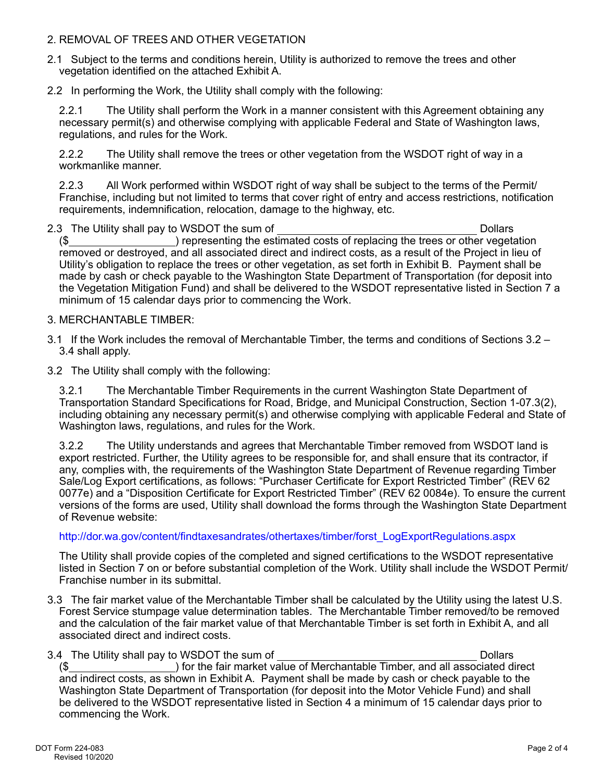## 2. REMOVAL OF TREES AND OTHER VEGETATION

- 2.1 Subject to the terms and conditions herein, Utility is authorized to remove the trees and other vegetation identified on the attached Exhibit A.
- 2.2 In performing the Work, the Utility shall comply with the following:

2.2.1 The Utility shall perform the Work in a manner consistent with this Agreement obtaining any necessary permit(s) and otherwise complying with applicable Federal and State of Washington laws, regulations, and rules for the Work.

2.2.2 The Utility shall remove the trees or other vegetation from the WSDOT right of way in a workmanlike manner.

2.2.3 All Work performed within WSDOT right of way shall be subject to the terms of the Permit/ Franchise, including but not limited to terms that cover right of entry and access restrictions, notification requirements, indemnification, relocation, damage to the highway, etc.

- 2.3 The Utility shall pay to WSDOT the sum of Dollars and Dollars Dollars (\$ ) representing the estimated costs of replacing the trees or other vegetation removed or destroyed, and all associated direct and indirect costs, as a result of the Project in lieu of Utility's obligation to replace the trees or other vegetation, as set forth in Exhibit B. Payment shall be made by cash or check payable to the Washington State Department of Transportation (for deposit into the Vegetation Mitigation Fund) and shall be delivered to the WSDOT representative listed in Section 7 a minimum of 15 calendar days prior to commencing the Work.
- 3. MERCHANTABLE TIMBER:
- 3.1 If the Work includes the removal of Merchantable Timber, the terms and conditions of Sections 3.2 3.4 shall apply.
- 3.2 The Utility shall comply with the following:

3.2.1 The Merchantable Timber Requirements in the current Washington State Department of Transportation Standard Specifications for Road, Bridge, and Municipal Construction, Section 1-07.3(2), including obtaining any necessary permit(s) and otherwise complying with applicable Federal and State of Washington laws, regulations, and rules for the Work.

3.2.2 The Utility understands and agrees that Merchantable Timber removed from WSDOT land is export restricted. Further, the Utility agrees to be responsible for, and shall ensure that its contractor, if any, complies with, the requirements of the Washington State Department of Revenue regarding Timber Sale/Log Export certifications, as follows: "Purchaser Certificate for Export Restricted Timber" (REV 62 0077e) and a "Disposition Certificate for Export Restricted Timber" (REV 62 0084e). To ensure the current versions of the forms are used, Utility shall download the forms through the Washington State Department of Revenue website:

## [http://dor.wa.gov/content/findtaxesandrates/othertaxes/timber/forst\\_LogExportRegulations.aspx](http://dor.wa.gov/content/findtaxesandrates/othertaxes/timber/forst_LogExportRegulations.aspx)

The Utility shall provide copies of the completed and signed certifications to the WSDOT representative listed in Section 7 on or before substantial completion of the Work. Utility shall include the WSDOT Permit/ Franchise number in its submittal.

- 3.3 The fair market value of the Merchantable Timber shall be calculated by the Utility using the latest U.S. Forest Service stumpage value determination tables. The Merchantable Timber removed/to be removed and the calculation of the fair market value of that Merchantable Timber is set forth in Exhibit A, and all associated direct and indirect costs.
- 3.4 The Utility shall pay to WSDOT the sum of Dollars and Dollars Dollars Dollars (\$ ) for the fair market value of Merchantable Timber, and all associated direct and indirect costs, as shown in Exhibit A. Payment shall be made by cash or check payable to the Washington State Department of Transportation (for deposit into the Motor Vehicle Fund) and shall be delivered to the WSDOT representative listed in Section 4 a minimum of 15 calendar days prior to commencing the Work.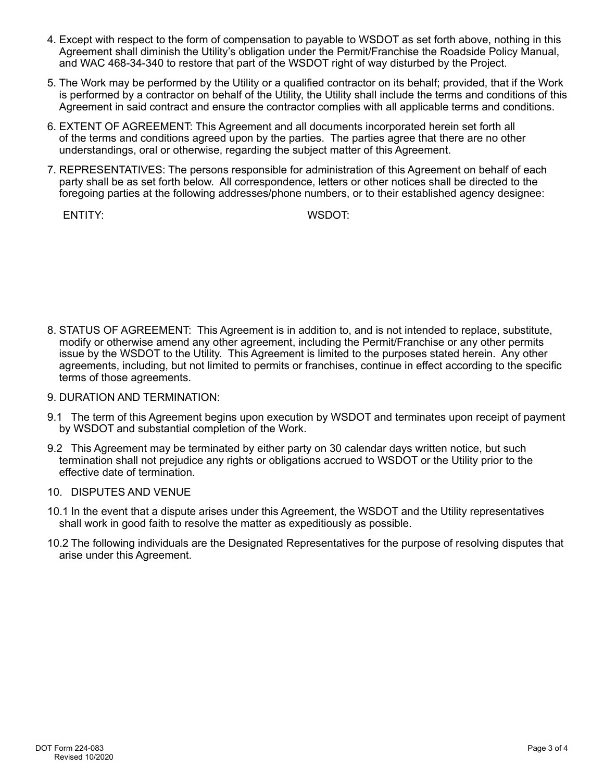- 4. Except with respect to the form of compensation to payable to WSDOT as set forth above, nothing in this Agreement shall diminish the Utility's obligation under the Permit/Franchise the Roadside Policy Manual, and WAC 468-34-340 to restore that part of the WSDOT right of way disturbed by the Project.
- 5. The Work may be performed by the Utility or a qualified contractor on its behalf; provided, that if the Work is performed by a contractor on behalf of the Utility, the Utility shall include the terms and conditions of this Agreement in said contract and ensure the contractor complies with all applicable terms and conditions.
- 6. EXTENT OF AGREEMENT: This Agreement and all documents incorporated herein set forth all of the terms and conditions agreed upon by the parties. The parties agree that there are no other understandings, oral or otherwise, regarding the subject matter of this Agreement.
- 7. REPRESENTATIVES: The persons responsible for administration of this Agreement on behalf of each party shall be as set forth below. All correspondence, letters or other notices shall be directed to the foregoing parties at the following addresses/phone numbers, or to their established agency designee:

ENTITY: WSDOT:

- 8. STATUS OF AGREEMENT: This Agreement is in addition to, and is not intended to replace, substitute, modify or otherwise amend any other agreement, including the Permit/Franchise or any other permits issue by the WSDOT to the Utility. This Agreement is limited to the purposes stated herein. Any other agreements, including, but not limited to permits or franchises, continue in effect according to the specific terms of those agreements.
- 9. DURATION AND TERMINATION:
- 9.1 The term of this Agreement begins upon execution by WSDOT and terminates upon receipt of payment by WSDOT and substantial completion of the Work.
- 9.2 This Agreement may be terminated by either party on 30 calendar days written notice, but such termination shall not prejudice any rights or obligations accrued to WSDOT or the Utility prior to the effective date of termination.
- 10. DISPUTES AND VENUE
- 10.1 In the event that a dispute arises under this Agreement, the WSDOT and the Utility representatives shall work in good faith to resolve the matter as expeditiously as possible.
- 10.2 The following individuals are the Designated Representatives for the purpose of resolving disputes that arise under this Agreement.